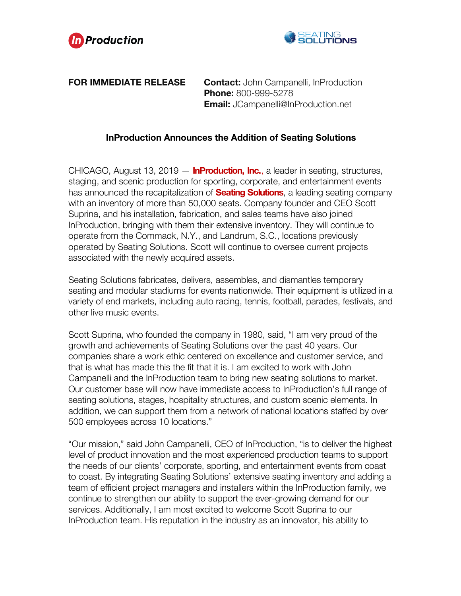



## **FOR IMMEDIATE RELEASE Contact:** John Campanelli, InProduction **Phone:** 800-999-5278 **Email:** JCampanelli@InProduction.net

## **InProduction Announces the Addition of Seating Solutions**

CHICAGO, August 13, 2019 — **InProduction, Inc.**, a leader in seating, structures, staging, and scenic production for sporting, corporate, and entertainment events has announced the recapitalization of **Seating Solutions**, a leading seating company with an inventory of more than 50,000 seats. Company founder and CEO Scott Suprina, and his installation, fabrication, and sales teams have also joined InProduction, bringing with them their extensive inventory. They will continue to operate from the Commack, N.Y., and Landrum, S.C., locations previously operated by Seating Solutions. Scott will continue to oversee current projects associated with the newly acquired assets.

Seating Solutions fabricates, delivers, assembles, and dismantles temporary seating and modular stadiums for events nationwide. Their equipment is utilized in a variety of end markets, including auto racing, tennis, football, parades, festivals, and other live music events.

Scott Suprina, who founded the company in 1980, said, "I am very proud of the growth and achievements of Seating Solutions over the past 40 years. Our companies share a work ethic centered on excellence and customer service, and that is what has made this the fit that it is. I am excited to work with John Campanelli and the InProduction team to bring new seating solutions to market. Our customer base will now have immediate access to InProduction's full range of seating solutions, stages, hospitality structures, and custom scenic elements. In addition, we can support them from a network of national locations staffed by over 500 employees across 10 locations."

"Our mission," said John Campanelli, CEO of InProduction, "is to deliver the highest level of product innovation and the most experienced production teams to support the needs of our clients' corporate, sporting, and entertainment events from coast to coast. By integrating Seating Solutions' extensive seating inventory and adding a team of efficient project managers and installers within the InProduction family, we continue to strengthen our ability to support the ever-growing demand for our services. Additionally, I am most excited to welcome Scott Suprina to our InProduction team. His reputation in the industry as an innovator, his ability to